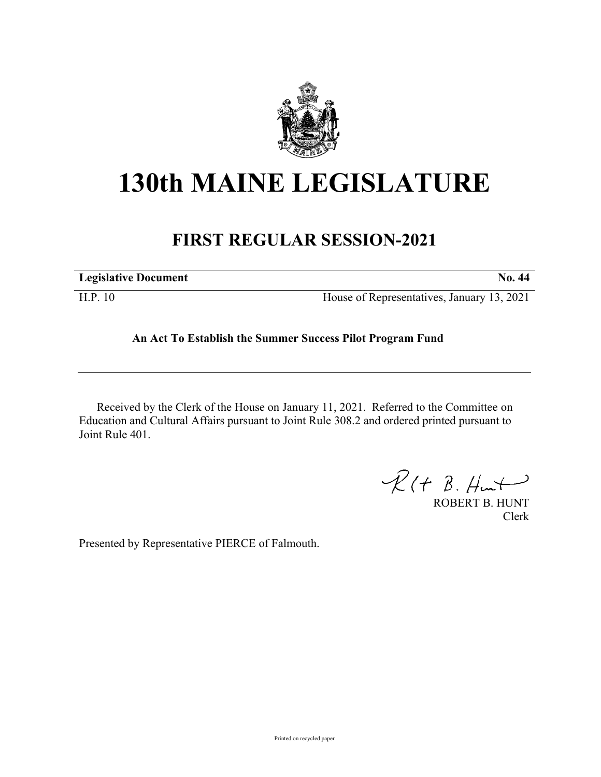

## **130th MAINE LEGISLATURE**

## **FIRST REGULAR SESSION-2021**

| <b>Legislative Document</b> | No. 44                                     |
|-----------------------------|--------------------------------------------|
| H.P. 10                     | House of Representatives, January 13, 2021 |

## **An Act To Establish the Summer Success Pilot Program Fund**

Received by the Clerk of the House on January 11, 2021. Referred to the Committee on Education and Cultural Affairs pursuant to Joint Rule 308.2 and ordered printed pursuant to Joint Rule 401.

 $\mathcal{R}(t \; \mathcal{B}, \mathcal{H}_{\mathsf{int}})$ 

ROBERT B. HUNT Clerk

Presented by Representative PIERCE of Falmouth.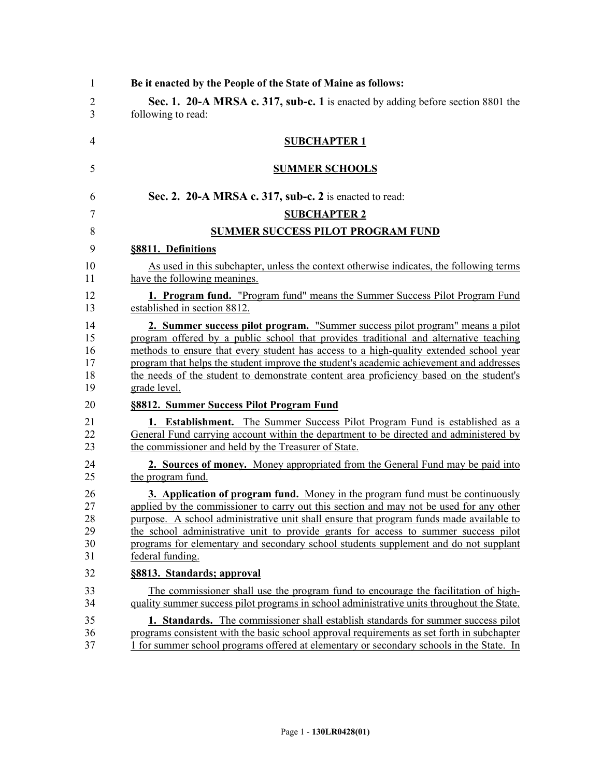| $\mathbf{1}$ | Be it enacted by the People of the State of Maine as follows:                              |  |  |
|--------------|--------------------------------------------------------------------------------------------|--|--|
| 2            | Sec. 1. 20-A MRSA c. 317, sub-c. 1 is enacted by adding before section 8801 the            |  |  |
| 3            | following to read:                                                                         |  |  |
| 4            | <b>SUBCHAPTER 1</b>                                                                        |  |  |
| 5            | <b>SUMMER SCHOOLS</b>                                                                      |  |  |
| 6            | Sec. 2. 20-A MRSA c. 317, sub-c. 2 is enacted to read:                                     |  |  |
| 7            | <b>SUBCHAPTER 2</b>                                                                        |  |  |
| 8            | <b>SUMMER SUCCESS PILOT PROGRAM FUND</b>                                                   |  |  |
| 9            | §8811. Definitions                                                                         |  |  |
| 10           | As used in this subchapter, unless the context otherwise indicates, the following terms    |  |  |
| 11           | have the following meanings.                                                               |  |  |
| 12           | <b>1. Program fund.</b> "Program fund" means the Summer Success Pilot Program Fund         |  |  |
| 13           | established in section 8812.                                                               |  |  |
| 14           | 2. Summer success pilot program. "Summer success pilot program" means a pilot              |  |  |
| 15           | program offered by a public school that provides traditional and alternative teaching      |  |  |
| 16           | methods to ensure that every student has access to a high-quality extended school year     |  |  |
| 17           | program that helps the student improve the student's academic achievement and addresses    |  |  |
| 18           | the needs of the student to demonstrate content area proficiency based on the student's    |  |  |
| 19           | grade level.                                                                               |  |  |
| 20           | §8812. Summer Success Pilot Program Fund                                                   |  |  |
| 21           | <b>1. Establishment.</b> The Summer Success Pilot Program Fund is established as a         |  |  |
| 22           | General Fund carrying account within the department to be directed and administered by     |  |  |
| 23           | the commissioner and held by the Treasurer of State.                                       |  |  |
| 24           | 2. Sources of money. Money appropriated from the General Fund may be paid into             |  |  |
| 25           | the program fund.                                                                          |  |  |
| 26           | <b>3. Application of program fund.</b> Money in the program fund must be continuously      |  |  |
| 27           | applied by the commissioner to carry out this section and may not be used for any other    |  |  |
| 28           | purpose. A school administrative unit shall ensure that program funds made available to    |  |  |
| 29           | the school administrative unit to provide grants for access to summer success pilot        |  |  |
| 30           | programs for elementary and secondary school students supplement and do not supplant       |  |  |
| 31           | federal funding.                                                                           |  |  |
| 32           | §8813. Standards; approval                                                                 |  |  |
| 33           | The commissioner shall use the program fund to encourage the facilitation of high-         |  |  |
| 34           | quality summer success pilot programs in school administrative units throughout the State. |  |  |
| 35           | 1. Standards. The commissioner shall establish standards for summer success pilot          |  |  |
| 36           | programs consistent with the basic school approval requirements as set forth in subchapter |  |  |
| 37           | 1 for summer school programs offered at elementary or secondary schools in the State. In   |  |  |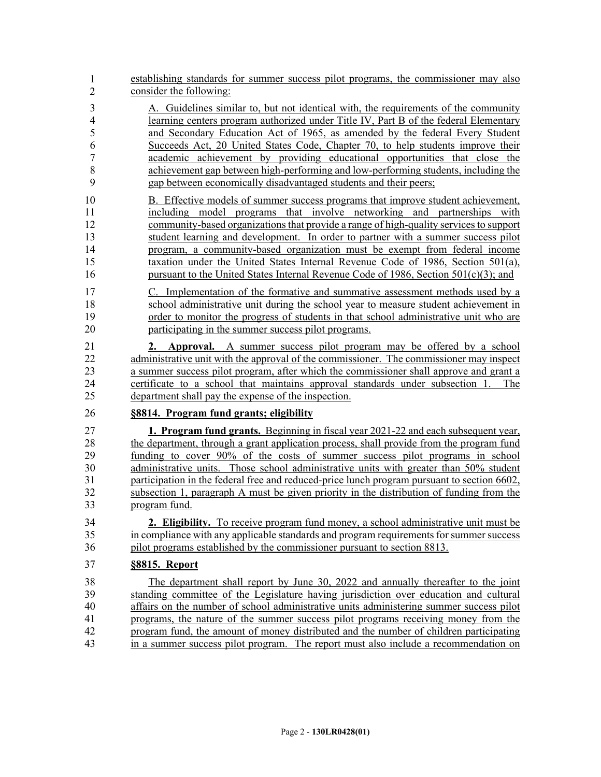- 38 establishing standards for summer success pilot programs, the commissioner may also consider the following: 1 2
- 3 A. Guidelines similar to, but not identical with, the requirements of the community 4 learning centers program authorized under Title IV, Part B of the federal Elementary 5 and Secondary Education Act of 1965, as amended by the federal Every Student 6 Succeeds Act, 20 United States Code, Chapter 70, to help students improve their 7 academic achievement by providing educational opportunities that close the 8 achievement gap between high-performing and low-performing students, including the 9 gap between economically disadvantaged students and their peers;
- 10 B. Effective models of summer success programs that improve student achievement, 11 including model programs that involve networking and partnerships with 12 community-based organizations that provide a range of high-quality services to support 13 student learning and development. In order to partner with a summer success pilot 14 program, a community-based organization must be exempt from federal income 15 taxation under the United States Internal Revenue Code of 1986, Section 501(a), 16 pursuant to the United States Internal Revenue Code of 1986, Section 501(c)(3); and
- 17 C. Implementation of the formative and summative assessment methods used by a 18 school administrative unit during the school year to measure student achievement in 19 order to monitor the progress of students in that school administrative unit who are 20 participating in the summer success pilot programs.
- 21 **2. Approval.** A summer success pilot program may be offered by a school 22 administrative unit with the approval of the commissioner. The commissioner may inspect 23 a summer success pilot program, after which the commissioner shall approve and grant a 24 certificate to a school that maintains approval standards under subsection 1. The 25 department shall pay the expense of the inspection.
- 26 **§8814. Program fund grants; eligibility**
- 27 **1. Program fund grants.** Beginning in fiscal year 2021-22 and each subsequent year, 28 the department, through a grant application process, shall provide from the program fund 29 funding to cover 90% of the costs of summer success pilot programs in school 30 administrative units. Those school administrative units with greater than 50% student 31 participation in the federal free and reduced-price lunch program pursuant to section 6602, 32 subsection 1, paragraph A must be given priority in the distribution of funding from the 33 program fund.
- 34 **2. Eligibility.** To receive program fund money, a school administrative unit must be 35 in compliance with any applicable standards and program requirements for summer success 36 pilot programs established by the commissioner pursuant to section 8813.
- 37 **§8815. Report**
- 38 The department shall report by June 30, 2022 and annually thereafter to the joint 39 standing committee of the Legislature having jurisdiction over education and cultural 40 affairs on the number of school administrative units administering summer success pilot 41 programs, the nature of the summer success pilot programs receiving money from the 42 program fund, the amount of money distributed and the number of children participating 43 in a summer success pilot program. The report must also include a recommendation on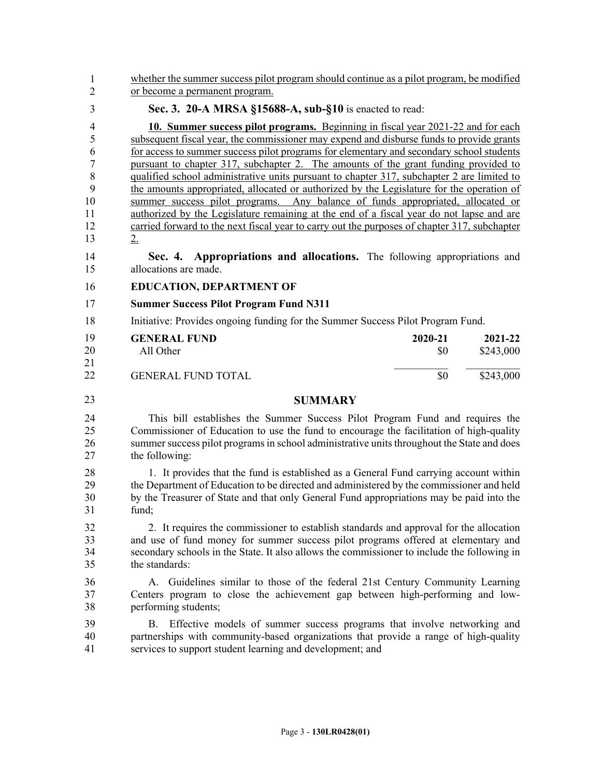| whether the summer success pilot program should continue as a pilot program, be modified                                                                                                                                                                                                     |                                |                                                                                                                                                                                                                                                                                                                                                                                                                                                                                                                                                                                                                                                                                                                                                                                                                                                                                                                                                                                |  |
|----------------------------------------------------------------------------------------------------------------------------------------------------------------------------------------------------------------------------------------------------------------------------------------------|--------------------------------|--------------------------------------------------------------------------------------------------------------------------------------------------------------------------------------------------------------------------------------------------------------------------------------------------------------------------------------------------------------------------------------------------------------------------------------------------------------------------------------------------------------------------------------------------------------------------------------------------------------------------------------------------------------------------------------------------------------------------------------------------------------------------------------------------------------------------------------------------------------------------------------------------------------------------------------------------------------------------------|--|
|                                                                                                                                                                                                                                                                                              |                                |                                                                                                                                                                                                                                                                                                                                                                                                                                                                                                                                                                                                                                                                                                                                                                                                                                                                                                                                                                                |  |
| 2.                                                                                                                                                                                                                                                                                           |                                |                                                                                                                                                                                                                                                                                                                                                                                                                                                                                                                                                                                                                                                                                                                                                                                                                                                                                                                                                                                |  |
| Sec. 4.<br>allocations are made.                                                                                                                                                                                                                                                             |                                |                                                                                                                                                                                                                                                                                                                                                                                                                                                                                                                                                                                                                                                                                                                                                                                                                                                                                                                                                                                |  |
| <b>EDUCATION, DEPARTMENT OF</b>                                                                                                                                                                                                                                                              |                                |                                                                                                                                                                                                                                                                                                                                                                                                                                                                                                                                                                                                                                                                                                                                                                                                                                                                                                                                                                                |  |
| <b>Summer Success Pilot Program Fund N311</b>                                                                                                                                                                                                                                                |                                |                                                                                                                                                                                                                                                                                                                                                                                                                                                                                                                                                                                                                                                                                                                                                                                                                                                                                                                                                                                |  |
| Initiative: Provides ongoing funding for the Summer Success Pilot Program Fund.                                                                                                                                                                                                              |                                |                                                                                                                                                                                                                                                                                                                                                                                                                                                                                                                                                                                                                                                                                                                                                                                                                                                                                                                                                                                |  |
| <b>GENERAL FUND</b><br>All Other                                                                                                                                                                                                                                                             | 2020-21<br>\$0                 | 2021-22<br>\$243,000                                                                                                                                                                                                                                                                                                                                                                                                                                                                                                                                                                                                                                                                                                                                                                                                                                                                                                                                                           |  |
| <b>GENERAL FUND TOTAL</b>                                                                                                                                                                                                                                                                    | \$0                            | \$243,000                                                                                                                                                                                                                                                                                                                                                                                                                                                                                                                                                                                                                                                                                                                                                                                                                                                                                                                                                                      |  |
| <b>SUMMARY</b>                                                                                                                                                                                                                                                                               |                                |                                                                                                                                                                                                                                                                                                                                                                                                                                                                                                                                                                                                                                                                                                                                                                                                                                                                                                                                                                                |  |
| This bill establishes the Summer Success Pilot Program Fund and requires the<br>Commissioner of Education to use the fund to encourage the facilitation of high-quality<br>summer success pilot programs in school administrative units throughout the State and does<br>the following:      |                                |                                                                                                                                                                                                                                                                                                                                                                                                                                                                                                                                                                                                                                                                                                                                                                                                                                                                                                                                                                                |  |
| 1. It provides that the fund is established as a General Fund carrying account within<br>the Department of Education to be directed and administered by the commissioner and held<br>by the Treasurer of State and that only General Fund appropriations may be paid into the<br>fund;       |                                |                                                                                                                                                                                                                                                                                                                                                                                                                                                                                                                                                                                                                                                                                                                                                                                                                                                                                                                                                                                |  |
| 2. It requires the commissioner to establish standards and approval for the allocation<br>and use of fund money for summer success pilot programs offered at elementary and<br>secondary schools in the State. It also allows the commissioner to include the following in<br>the standards: |                                |                                                                                                                                                                                                                                                                                                                                                                                                                                                                                                                                                                                                                                                                                                                                                                                                                                                                                                                                                                                |  |
| Guidelines similar to those of the federal 21st Century Community Learning<br>$A_{\cdot}$<br>Centers program to close the achievement gap between high-performing and low-<br>performing students;                                                                                           |                                |                                                                                                                                                                                                                                                                                                                                                                                                                                                                                                                                                                                                                                                                                                                                                                                                                                                                                                                                                                                |  |
| Effective models of summer success programs that involve networking and<br>B.<br>partnerships with community-based organizations that provide a range of high-quality<br>services to support student learning and development; and                                                           |                                |                                                                                                                                                                                                                                                                                                                                                                                                                                                                                                                                                                                                                                                                                                                                                                                                                                                                                                                                                                                |  |
|                                                                                                                                                                                                                                                                                              | or become a permanent program. | Sec. 3. 20-A MRSA §15688-A, sub-§10 is enacted to read:<br>10. Summer success pilot programs. Beginning in fiscal year 2021-22 and for each<br>subsequent fiscal year, the commissioner may expend and disburse funds to provide grants<br>for access to summer success pilot programs for elementary and secondary school students<br>pursuant to chapter 317, subchapter 2. The amounts of the grant funding provided to<br>qualified school administrative units pursuant to chapter 317, subchapter 2 are limited to<br>the amounts appropriated, allocated or authorized by the Legislature for the operation of<br>summer success pilot programs. Any balance of funds appropriated, allocated or<br>authorized by the Legislature remaining at the end of a fiscal year do not lapse and are<br>carried forward to the next fiscal year to carry out the purposes of chapter 317, subchapter<br><b>Appropriations and allocations.</b> The following appropriations and |  |